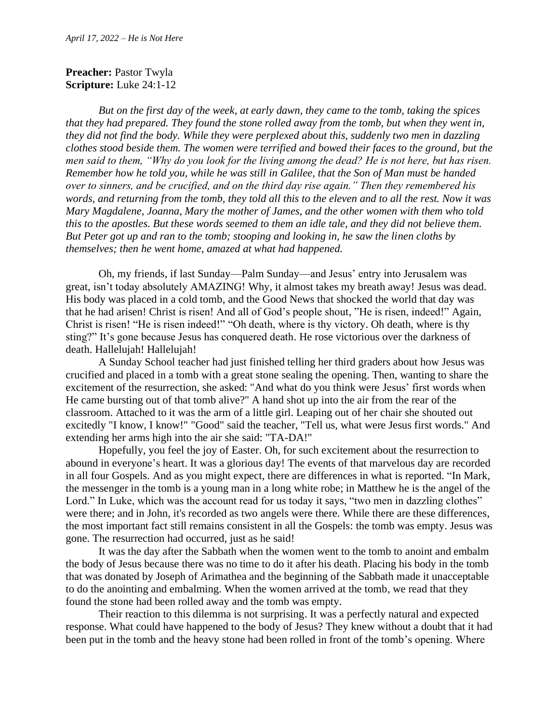## **Preacher: Pastor Twyla Scripture:** Luke 24:1-12

*But on the first day of the week, at early dawn, they came to the tomb, taking the spices that they had prepared. They found the stone rolled away from the tomb, but when they went in, they did not find the body. While they were perplexed about this, suddenly two men in dazzling clothes stood beside them. The women were terrified and bowed their faces to the ground, but the men said to them, "Why do you look for the living among the dead? He is not here, but has risen. Remember how he told you, while he was still in Galilee, that the Son of Man must be handed over to sinners, and be crucified, and on the third day rise again." Then they remembered his words, and returning from the tomb, they told all this to the eleven and to all the rest. Now it was Mary Magdalene, Joanna, Mary the mother of James, and the other women with them who told this to the apostles. But these words seemed to them an idle tale, and they did not believe them. But Peter got up and ran to the tomb; stooping and looking in, he saw the linen cloths by themselves; then he went home, amazed at what had happened.*

Oh, my friends, if last Sunday—Palm Sunday—and Jesus' entry into Jerusalem was great, isn't today absolutely AMAZING! Why, it almost takes my breath away! Jesus was dead. His body was placed in a cold tomb, and the Good News that shocked the world that day was that he had arisen! Christ is risen! And all of God's people shout, "He is risen, indeed!" Again, Christ is risen! "He is risen indeed!" "Oh death, where is thy victory. Oh death, where is thy sting?" It's gone because Jesus has conquered death. He rose victorious over the darkness of death. Hallelujah! Hallelujah!

A Sunday School teacher had just finished telling her third graders about how Jesus was crucified and placed in a tomb with a great stone sealing the opening. Then, wanting to share the excitement of the resurrection, she asked: "And what do you think were Jesus' first words when He came bursting out of that tomb alive?" A hand shot up into the air from the rear of the classroom. Attached to it was the arm of a little girl. Leaping out of her chair she shouted out excitedly "I know, I know!" "Good" said the teacher, "Tell us, what were Jesus first words." And extending her arms high into the air she said: "TA-DA!"

Hopefully, you feel the joy of Easter. Oh, for such excitement about the resurrection to abound in everyone's heart. It was a glorious day! The events of that marvelous day are recorded in all four Gospels. And as you might expect, there are differences in what is reported. "In Mark, the messenger in the tomb is a young man in a long white robe; in Matthew he is the angel of the Lord." In Luke, which was the account read for us today it says, "two men in dazzling clothes" were there; and in John, it's recorded as two angels were there. While there are these differences, the most important fact still remains consistent in all the Gospels: the tomb was empty. Jesus was gone. The resurrection had occurred, just as he said!

It was the day after the Sabbath when the women went to the tomb to anoint and embalm the body of Jesus because there was no time to do it after his death. Placing his body in the tomb that was donated by Joseph of Arimathea and the beginning of the Sabbath made it unacceptable to do the anointing and embalming. When the women arrived at the tomb, we read that they found the stone had been rolled away and the tomb was empty.

Their reaction to this dilemma is not surprising. It was a perfectly natural and expected response. What could have happened to the body of Jesus? They knew without a doubt that it had been put in the tomb and the heavy stone had been rolled in front of the tomb's opening. Where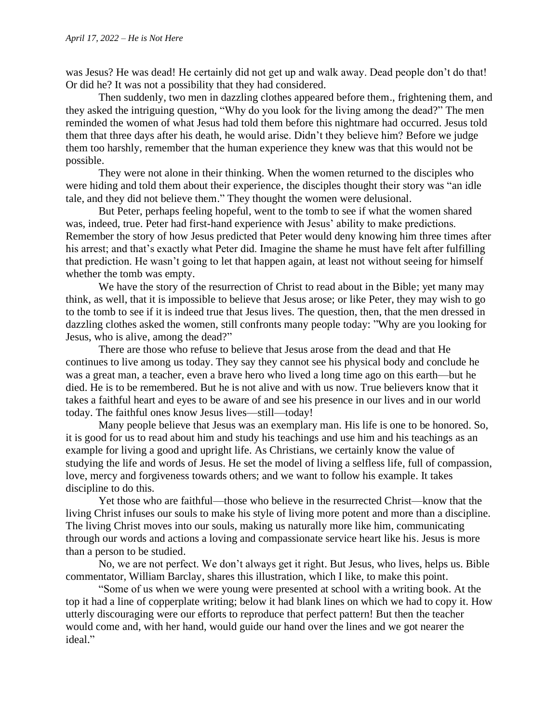was Jesus? He was dead! He certainly did not get up and walk away. Dead people don't do that! Or did he? It was not a possibility that they had considered.

Then suddenly, two men in dazzling clothes appeared before them., frightening them, and they asked the intriguing question, "Why do you look for the living among the dead?" The men reminded the women of what Jesus had told them before this nightmare had occurred. Jesus told them that three days after his death, he would arise. Didn't they believe him? Before we judge them too harshly, remember that the human experience they knew was that this would not be possible.

They were not alone in their thinking. When the women returned to the disciples who were hiding and told them about their experience, the disciples thought their story was "an idle tale, and they did not believe them." They thought the women were delusional.

But Peter, perhaps feeling hopeful, went to the tomb to see if what the women shared was, indeed, true. Peter had first-hand experience with Jesus' ability to make predictions. Remember the story of how Jesus predicted that Peter would deny knowing him three times after his arrest; and that's exactly what Peter did. Imagine the shame he must have felt after fulfilling that prediction. He wasn't going to let that happen again, at least not without seeing for himself whether the tomb was empty.

We have the story of the resurrection of Christ to read about in the Bible; yet many may think, as well, that it is impossible to believe that Jesus arose; or like Peter, they may wish to go to the tomb to see if it is indeed true that Jesus lives. The question, then, that the men dressed in dazzling clothes asked the women, still confronts many people today: "Why are you looking for Jesus, who is alive, among the dead?"

There are those who refuse to believe that Jesus arose from the dead and that He continues to live among us today. They say they cannot see his physical body and conclude he was a great man, a teacher, even a brave hero who lived a long time ago on this earth—but he died. He is to be remembered. But he is not alive and with us now. True believers know that it takes a faithful heart and eyes to be aware of and see his presence in our lives and in our world today. The faithful ones know Jesus lives—still—today!

Many people believe that Jesus was an exemplary man. His life is one to be honored. So, it is good for us to read about him and study his teachings and use him and his teachings as an example for living a good and upright life. As Christians, we certainly know the value of studying the life and words of Jesus. He set the model of living a selfless life, full of compassion, love, mercy and forgiveness towards others; and we want to follow his example. It takes discipline to do this.

Yet those who are faithful—those who believe in the resurrected Christ—know that the living Christ infuses our souls to make his style of living more potent and more than a discipline. The living Christ moves into our souls, making us naturally more like him, communicating through our words and actions a loving and compassionate service heart like his. Jesus is more than a person to be studied.

No, we are not perfect. We don't always get it right. But Jesus, who lives, helps us. Bible commentator, William Barclay, shares this illustration, which I like, to make this point.

"Some of us when we were young were presented at school with a writing book. At the top it had a line of copperplate writing; below it had blank lines on which we had to copy it. How utterly discouraging were our efforts to reproduce that perfect pattern! But then the teacher would come and, with her hand, would guide our hand over the lines and we got nearer the ideal."